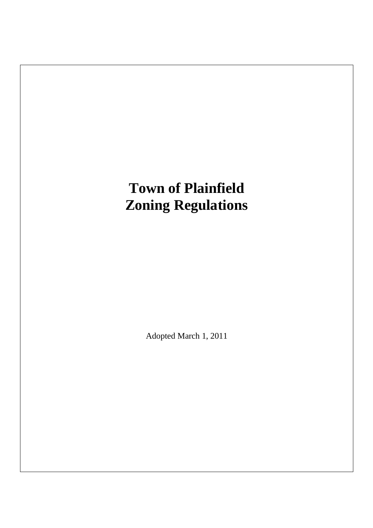# **Town of Plainfield Zoning Regulations**

Adopted March 1, 2011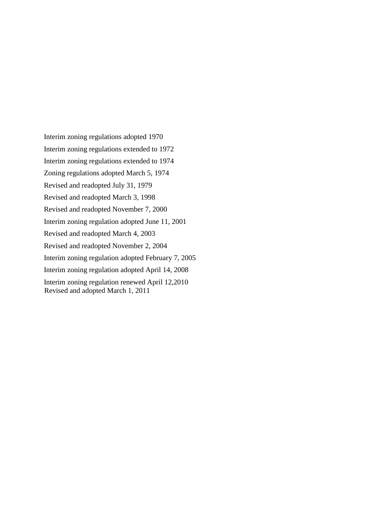Interim zoning regulations adopted 1970 Interim zoning regulations extended to 1972 Interim zoning regulations extended to 1974 Zoning regulations adopted March 5, 1974 Revised and readopted July 31, 1979 Revised and readopted March 3, 1998 Revised and readopted November 7, 2000 Interim zoning regulation adopted June 11, 2001 Revised and readopted March 4, 2003 Revised and readopted November 2, 2004 Interim zoning regulation adopted February 7, 2005 Interim zoning regulation adopted April 14, 2008 Interim zoning regulation renewed April 12,2010 Revised and adopted March 1, 2011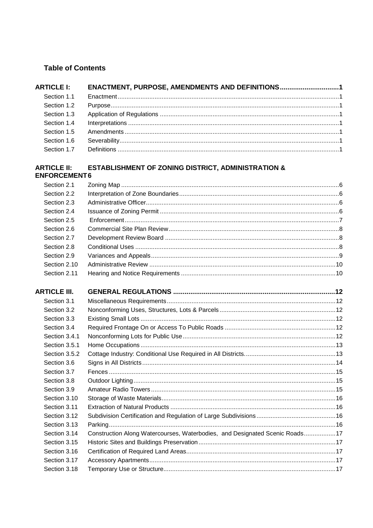# **Table of Contents**

| <b>ARTICLE I:</b> | ENACTMENT, PURPOSE, AMENDMENTS AND DEFINITIONS1 |  |
|-------------------|-------------------------------------------------|--|
| Section 1.1       |                                                 |  |
| Section 1.2       |                                                 |  |
| Section 1.3       |                                                 |  |
| Section 1.4       |                                                 |  |
| Section 1.5       |                                                 |  |
| Section 1.6       |                                                 |  |
|                   |                                                 |  |

# ARTICLE II: ESTABLISHMENT OF ZONING DISTRICT, ADMINISTRATION & ENFORCEMENT6

| Section 2.1         |                                                                             |  |
|---------------------|-----------------------------------------------------------------------------|--|
| Section 2.2         |                                                                             |  |
| Section 2.3         |                                                                             |  |
| Section 2.4         |                                                                             |  |
| Section 2.5         |                                                                             |  |
| Section 2.6         |                                                                             |  |
| Section 2.7         |                                                                             |  |
| Section 2.8         |                                                                             |  |
| Section 2.9         |                                                                             |  |
| Section 2.10        |                                                                             |  |
| Section 2.11        |                                                                             |  |
| <b>ARTICLE III.</b> |                                                                             |  |
| Section 3.1         |                                                                             |  |
| Section 3.2         |                                                                             |  |
| Section 3.3         |                                                                             |  |
| Section 3.4         |                                                                             |  |
| Section 3.4.1       |                                                                             |  |
| Section 3.5.1       |                                                                             |  |
| Section 3.5.2       |                                                                             |  |
| Section 3.6         |                                                                             |  |
| Section 3.7         |                                                                             |  |
| Section 3.8         |                                                                             |  |
| Section 3.9         |                                                                             |  |
| Section 3.10        |                                                                             |  |
| Section 3.11        |                                                                             |  |
| Section 3.12        |                                                                             |  |
| Section 3.13        |                                                                             |  |
| Section 3.14        | Construction Along Watercourses, Waterbodies, and Designated Scenic Roads17 |  |
| Section 3.15        |                                                                             |  |
| Section 3.16        |                                                                             |  |
| Section 3.17        |                                                                             |  |
| Section 3.18        |                                                                             |  |
|                     |                                                                             |  |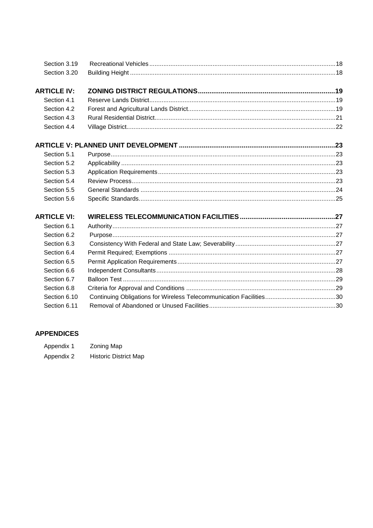| Section 3.19       |  |
|--------------------|--|
| Section 3.20       |  |
| <b>ARTICLE IV:</b> |  |
| Section 4.1        |  |
| Section 4.2        |  |
| Section 4.3        |  |
| Section 4.4        |  |
|                    |  |
| Section 5.1        |  |
| Section 5.2        |  |
| Section 5.3        |  |
| Section 5.4        |  |
| Section 5.5        |  |
| Section 5.6        |  |
| <b>ARTICLE VI:</b> |  |
| Section 6.1        |  |
| Section 6.2        |  |
| Section 6.3        |  |
| Section 6.4        |  |
| Section 6.5        |  |
| Section 6.6        |  |
| Section 6.7        |  |
| Section 6.8        |  |
| Section 6.10       |  |
| Section 6.11       |  |

# **APPENDICES**

| Appendix 1 | Zoning Map |
|------------|------------|
|            |            |

Appendix 2 Historic District Map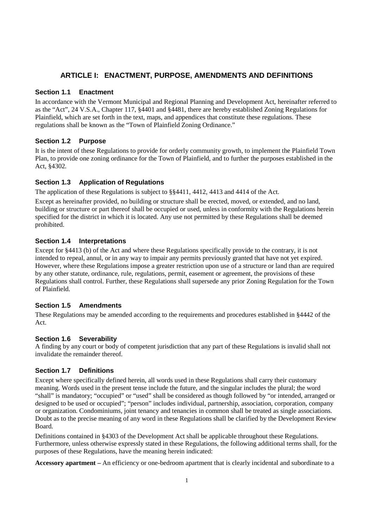# **ARTICLE I: ENACTMENT, PURPOSE, AMENDMENTS AND DEFINITIONS**

## **Section 1.1 Enactment**

In accordance with the Vermont Municipal and Regional Planning and Development Act, hereinafter referred to as the "Act", 24 V.S.A., Chapter 117, §4401 and §4481, there are hereby established Zoning Regulations for Plainfield, which are set forth in the text, maps, and appendices that constitute these regulations. These regulations shall be known as the "Town of Plainfield Zoning Ordinance."

# **Section 1.2 Purpose**

It is the intent of these Regulations to provide for orderly community growth, to implement the Plainfield Town Plan, to provide one zoning ordinance for the Town of Plainfield, and to further the purposes established in the Act, §4302.

# **Section 1.3 Application of Regulations**

The application of these Regulations is subject to §§4411, 4412, 4413 and 4414 of the Act.

Except as hereinafter provided, no building or structure shall be erected, moved, or extended, and no land, building or structure or part thereof shall be occupied or used, unless in conformity with the Regulations herein specified for the district in which it is located. Any use not permitted by these Regulations shall be deemed prohibited.

## **Section 1.4 Interpretations**

Except for §4413 (b) of the Act and where these Regulations specifically provide to the contrary, it is not intended to repeal, annul, or in any way to impair any permits previously granted that have not yet expired. However, where these Regulations impose a greater restriction upon use of a structure or land than are required by any other statute, ordinance, rule, regulations, permit, easement or agreement, the provisions of these Regulations shall control. Further, these Regulations shall supersede any prior Zoning Regulation for the Town of Plainfield.

# **Section 1.5 Amendments**

These Regulations may be amended according to the requirements and procedures established in §4442 of the Act.

#### **Section 1.6 Severability**

A finding by any court or body of competent jurisdiction that any part of these Regulations is invalid shall not invalidate the remainder thereof.

# **Section 1.7 Definitions**

Except where specifically defined herein, all words used in these Regulations shall carry their customary meaning. Words used in the present tense include the future, and the singular includes the plural; the word "shall" is mandatory; "occupied" or "used" shall be considered as though followed by "or intended, arranged or designed to be used or occupied"; "person" includes individual, partnership, association, corporation, company or organization. Condominiums, joint tenancy and tenancies in common shall be treated as single associations. Doubt as to the precise meaning of any word in these Regulations shall be clarified by the Development Review Board.

Definitions contained in §4303 of the Development Act shall be applicable throughout these Regulations. Furthermore, unless otherwise expressly stated in these Regulations, the following additional terms shall, for the purposes of these Regulations, have the meaning herein indicated:

**Accessory apartment –** An efficiency or one-bedroom apartment that is clearly incidental and subordinate to a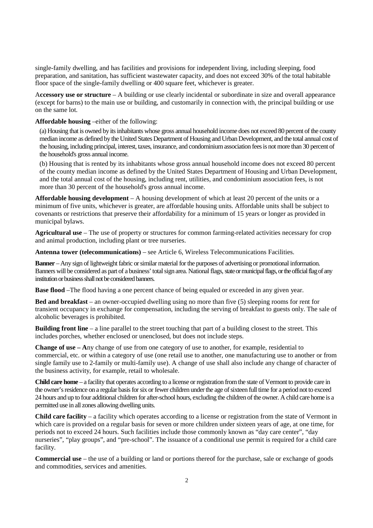single-family dwelling, and has facilities and provisions for independent living, including sleeping, food preparation, and sanitation, has sufficient wastewater capacity, and does not exceed 30% of the total habitable floor space of the single-family dwelling or 400 square feet, whichever is greater.

A**ccessory use or structure** – A building or use clearly incidental or subordinate in size and overall appearance (except for barns) to the main use or building, and customarily in connection with, the principal building or use on the same lot.

**Affordable housing** –either of the following:

(a) Housing that is owned by its inhabitants whose gross annual household income does not exceed 80 percent of the county median income as defined by the United States Department of Housing and Urban Development, and the total annual cost of the housing, including principal, interest, taxes, insurance, and condominium association fees is not more than 30 percent of the household's gross annual income.

(b) Housing that is rented by its inhabitants whose gross annual household income does not exceed 80 percent of the county median income as defined by the United States Department of Housing and Urban Development, and the total annual cost of the housing, including rent, utilities, and condominium association fees, is not more than 30 percent of the household's gross annual income.

**Affordable housing development** – A housing development of which at least 20 percent of the units or a minimum of five units, whichever is greater, are affordable housing units. Affordable units shall be subject to covenants or restrictions that preserve their affordability for a minimum of 15 years or longer as provided in municipal bylaws.

**Agricultural use** – The use of property or structures for common farming-related activities necessary for crop and animal production, including plant or tree nurseries.

**Antenna tower (telecommunications)** – see Article 6, Wireless Telecommunications Facilities.

**Banner** – Any sign of lightweight fabric or similar material for the purposes of advertising or promotional information. Banners will be considered as part of a business' total sign area. National flags, state or municipal flags, or the official flag of any institution or business shall not be considered banners.

**Base flood** –The flood having a one percent chance of being equaled or exceeded in any given year.

**Bed and breakfast** – an owner-occupied dwelling using no more than five (5) sleeping rooms for rent for transient occupancy in exchange for compensation, including the serving of breakfast to guests only. The sale of alcoholic beverages is prohibited.

**Building front line** – a line parallel to the street touching that part of a building closest to the street. This includes porches, whether enclosed or unenclosed, but does not include steps.

**Change of use – A**ny change of use from one category of use to another, for example, residential to commercial, etc. or within a category of use (one retail use to another, one manufacturing use to another or from single family use to 2-family or multi-family use). A change of use shall also include any change of character of the business activity, for example, retail to wholesale.

**Child care home** – a facility that operates according to a license or registration from the state of Vermont to provide care in the owner's residence on a regular basis for six or fewer children under the age of sixteen full time for a period not to exceed 24 hours and up to four additional children for after-school hours, excluding the children of the owner. A child care home is a permitted use in all zones allowing dwelling units.

**Child care facility** – a facility which operates according to a license or registration from the state of Vermont in which care is provided on a regular basis for seven or more children under sixteen years of age, at one time, for periods not to exceed 24 hours. Such facilities include those commonly known as "day care center", "day nurseries", "play groups", and "pre-school". The issuance of a conditional use permit is required for a child care facility.

**Commercial use** – the use of a building or land or portions thereof for the purchase, sale or exchange of goods and commodities, services and amenities.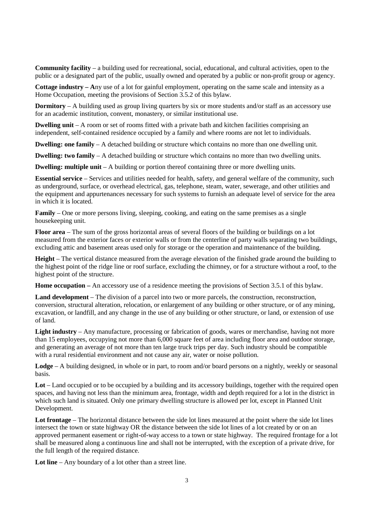**Community facility** – a building used for recreational, social, educational, and cultural activities, open to the public or a designated part of the public, usually owned and operated by a public or non-profit group or agency.

**Cottage industry – A**ny use of a lot for gainful employment, operating on the same scale and intensity as a Home Occupation, meeting the provisions of Section 3.5.2 of this bylaw.

**Dormitory** – A building used as group living quarters by six or more students and/or staff as an accessory use for an academic institution, convent, monastery, or similar institutional use.

**Dwelling unit** – A room or set of rooms fitted with a private bath and kitchen facilities comprising an independent, self-contained residence occupied by a family and where rooms are not let to individuals.

**Dwelling: one family** – A detached building or structure which contains no more than one dwelling unit.

**Dwelling: two family** – A detached building or structure which contains no more than two dwelling units.

**Dwelling: multiple unit** – A building or portion thereof containing three or more dwelling units.

**Essential service** – Services and utilities needed for health, safety, and general welfare of the community, such as underground, surface, or overhead electrical, gas, telephone, steam, water, sewerage, and other utilities and the equipment and appurtenances necessary for such systems to furnish an adequate level of service for the area in which it is located.

**Family** – One or more persons living, sleeping, cooking, and eating on the same premises as a single housekeeping unit.

**Floor area** – The sum of the gross horizontal areas of several floors of the building or buildings on a lot measured from the exterior faces or exterior walls or from the centerline of party walls separating two buildings, excluding attic and basement areas used only for storage or the operation and maintenance of the building.

**Height** – The vertical distance measured from the average elevation of the finished grade around the building to the highest point of the ridge line or roof surface, excluding the chimney, or for a structure without a roof, to the highest point of the structure.

**Home occupation –** An accessory use of a residence meeting the provisions of Section 3.5.1 of this bylaw.

**Land development** – The division of a parcel into two or more parcels, the construction, reconstruction, conversion, structural alteration, relocation, or enlargement of any building or other structure, or of any mining, excavation, or landfill, and any change in the use of any building or other structure, or land, or extension of use of land.

**Light industry** – Any manufacture, processing or fabrication of goods, wares or merchandise, having not more than 15 employees, occupying not more than 6,000 square feet of area including floor area and outdoor storage, and generating an average of not more than ten large truck trips per day. Such industry should be compatible with a rural residential environment and not cause any air, water or noise pollution.

**Lodge** – A building designed, in whole or in part, to room and/or board persons on a nightly, weekly or seasonal basis.

**Lot** – Land occupied or to be occupied by a building and its accessory buildings, together with the required open spaces, and having not less than the minimum area, frontage, width and depth required for a lot in the district in which such land is situated. Only one primary dwelling structure is allowed per lot, except in Planned Unit Development.

**Lot frontage** – The horizontal distance between the side lot lines measured at the point where the side lot lines intersect the town or state highway OR the distance between the side lot lines of a lot created by or on an approved permanent easement or right-of-way access to a town or state highway. The required frontage for a lot shall be measured along a continuous line and shall not be interrupted, with the exception of a private drive, for the full length of the required distance.

**Lot line** – Any boundary of a lot other than a street line.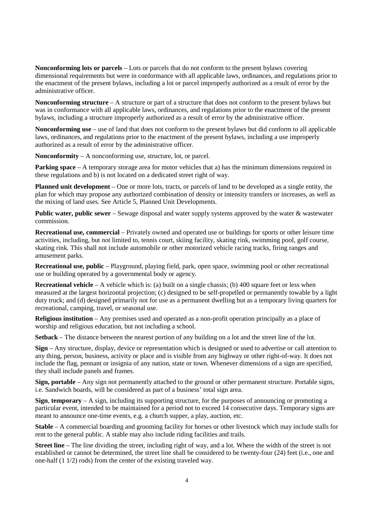**Nonconforming lots or parcels** – Lots or parcels that do not conform to the present bylaws covering dimensional requirements but were in conformance with all applicable laws, ordinances, and regulations prior to the enactment of the present bylaws, including a lot or parcel improperly authorized as a result of error by the administrative officer.

**Nonconforming structure** – A structure or part of a structure that does not conform to the present bylaws but was in conformance with all applicable laws, ordinances, and regulations prior to the enactment of the present bylaws, including a structure improperly authorized as a result of error by the administrative officer.

**Nonconforming use** – use of land that does not conform to the present bylaws but did conform to all applicable laws, ordinances, and regulations prior to the enactment of the present bylaws, including a use improperly authorized as a result of error by the administrative officer.

**Nonconformity** – A nonconforming use, structure, lot, or parcel.

**Parking space** – A temporary storage area for motor vehicles that a) has the minimum dimensions required in these regulations and b) is not located on a dedicated street right of way.

**Planned unit development** – One or more lots, tracts, or parcels of land to be developed as a single entity, the plan for which may propose any authorized combination of density or intensity transfers or increases, as well as the mixing of land uses. See Article 5, Planned Unit Developments.

**Public water, public sewer** – Sewage disposal and water supply systems approved by the water & wastewater commission.

**Recreational use, commercial** – Privately owned and operated use or buildings for sports or other leisure time activities, including, but not limited to, tennis court, skiing facility, skating rink, swimming pool, golf course, skating rink. This shall not include automobile or other motorized vehicle racing tracks, firing ranges and amusement parks.

**Recreational use, public** – Playground, playing field, park, open space, swimming pool or other recreational use or building operated by a governmental body or agency.

**Recreational vehicle** – A vehicle which is: (a) built on a single chassis; (b) 400 square feet or less when measured at the largest horizontal projection; (c) designed to be self-propelled or permanently towable by a light duty truck; and (d) designed primarily not for use as a permanent dwelling but as a temporary living quarters for recreational, camping, travel, or seasonal use.

**Religious institution** – Any premises used and operated as a non-profit operation principally as a place of worship and religious education, but not including a school.

**Setback** – The distance between the nearest portion of any building on a lot and the street line of the lot.

**Sign** – Any structure, display, device or representation which is designed or used to advertise or call attention to any thing, person, business, activity or place and is visible from any highway or other right-of-way. It does not include the flag, pennant or insignia of any nation, state or town. Whenever dimensions of a sign are specified, they shall include panels and frames.

**Sign, portable** – Any sign not permanently attached to the ground or other permanent structure. Portable signs, i.e. Sandwich boards, will be considered as part of a business' total sign area.

**Sign**, **temporary** – A sign, including its supporting structure, for the purposes of announcing or promoting a particular event, intended to be maintained for a period not to exceed 14 consecutive days. Temporary signs are meant to announce one-time events, e.g. a church supper, a play, auction, etc.

**Stable** – A commercial boarding and grooming facility for horses or other livestock which may include stalls for rent to the general public. A stable may also include riding facilities and trails.

**Street line** – The line dividing the street, including right of way, and a lot. Where the width of the street is not established or cannot be determined, the street line shall be considered to be twenty-four (24) feet (i.e., one and one-half (1 1/2) rods) from the center of the existing traveled way.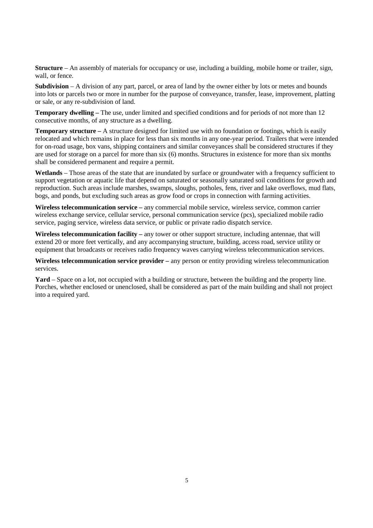**Structure** – An assembly of materials for occupancy or use, including a building, mobile home or trailer, sign, wall, or fence.

**Subdivision** – A division of any part, parcel, or area of land by the owner either by lots or metes and bounds into lots or parcels two or more in number for the purpose of conveyance, transfer, lease, improvement, platting or sale, or any re-subdivision of land.

**Temporary dwelling –** The use, under limited and specified conditions and for periods of not more than 12 consecutive months, of any structure as a dwelling.

**Temporary structure – A** structure designed for limited use with no foundation or footings, which is easily relocated and which remains in place for less than six months in any one-year period. Trailers that were intended for on-road usage, box vans, shipping containers and similar conveyances shall be considered structures if they are used for storage on a parcel for more than six (6) months. Structures in existence for more than six months shall be considered permanent and require a permit.

**Wetlands** – Those areas of the state that are inundated by surface or groundwater with a frequency sufficient to support vegetation or aquatic life that depend on saturated or seasonally saturated soil conditions for growth and reproduction. Such areas include marshes, swamps, sloughs, potholes, fens, river and lake overflows, mud flats, bogs, and ponds, but excluding such areas as grow food or crops in connection with farming activities.

**Wireless telecommunication service –** any commercial mobile service, wireless service, common carrier wireless exchange service, cellular service, personal communication service (pcs), specialized mobile radio service, paging service, wireless data service, or public or private radio dispatch service.

**Wireless telecommunication facility –** any tower or other support structure, including antennae, that will extend 20 or more feet vertically, and any accompanying structure, building, access road, service utility or equipment that broadcasts or receives radio frequency waves carrying wireless telecommunication services.

**Wireless telecommunication service provider** *–* any person or entity providing wireless telecommunication services.

**Yard** – Space on a lot, not occupied with a building or structure, between the building and the property line. Porches, whether enclosed or unenclosed, shall be considered as part of the main building and shall not project into a required yard.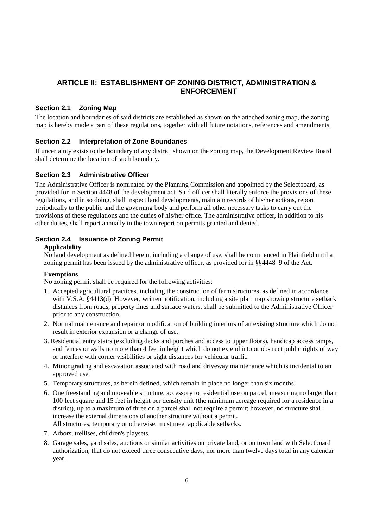# **ARTICLE II: ESTABLISHMENT OF ZONING DISTRICT, ADMINISTRATION & ENFORCEMENT**

## **Section 2.1 Zoning Map**

The location and boundaries of said districts are established as shown on the attached zoning map, the zoning map is hereby made a part of these regulations, together with all future notations, references and amendments.

#### **Section 2.2 Interpretation of Zone Boundaries**

If uncertainty exists to the boundary of any district shown on the zoning map, the Development Review Board shall determine the location of such boundary.

#### **Section 2.3 Administrative Officer**

The Administrative Officer is nominated by the Planning Commission and appointed by the Selectboard, as provided for in Section 4448 of the development act. Said officer shall literally enforce the provisions of these regulations, and in so doing, shall inspect land developments, maintain records of his/her actions, report periodically to the public and the governing body and perform all other necessary tasks to carry out the provisions of these regulations and the duties of his/her office. The administrative officer, in addition to his other duties, shall report annually in the town report on permits granted and denied.

## **Section 2.4 Issuance of Zoning Permit**

#### **Applicability**

No land development as defined herein, including a change of use, shall be commenced in Plainfield until a zoning permit has been issued by the administrative officer, as provided for in §§4448–9 of the Act.

#### **Exemptions**

No zoning permit shall be required for the following activities:

- 1. Accepted agricultural practices, including the construction of farm structures, as defined in accordance with V.S.A. §4413(d). However, written notification, including a site plan map showing structure setback distances from roads, property lines and surface waters, shall be submitted to the Administrative Officer prior to any construction.
- 2. Normal maintenance and repair or modification of building interiors of an existing structure which do not result in exterior expansion or a change of use.
- 3. Residential entry stairs (excluding decks and porches and access to upper floors), handicap access ramps, and fences or walls no more than 4 feet in height which do not extend into or obstruct public rights of way or interfere with corner visibilities or sight distances for vehicular traffic.
- 4. Minor grading and excavation associated with road and driveway maintenance which is incidental to an approved use.
- 5. Temporary structures, as herein defined, which remain in place no longer than six months.
- 6. One freestanding and moveable structure, accessory to residential use on parcel, measuring no larger than 100 feet square and 15 feet in height per density unit (the minimum acreage required for a residence in a district), up to a maximum of three on a parcel shall not require a permit; however, no structure shall increase the external dimensions of another structure without a permit. All structures, temporary or otherwise, must meet applicable setbacks.
- 7. Arbors, trellises, children's playsets.
- 8. Garage sales, yard sales, auctions or similar activities on private land, or on town land with Selectboard authorization, that do not exceed three consecutive days, nor more than twelve days total in any calendar year.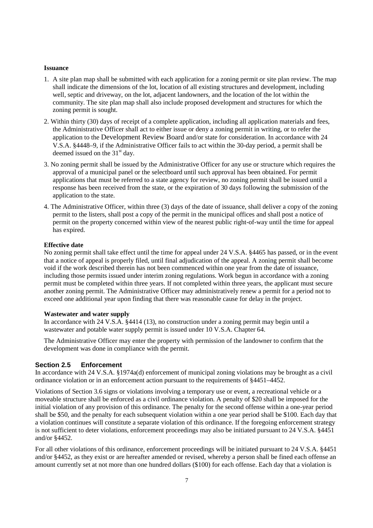#### **Issuance**

- 1. A site plan map shall be submitted with each application for a zoning permit or site plan review. The map shall indicate the dimensions of the lot, location of all existing structures and development, including well, septic and driveway, on the lot, adjacent landowners, and the location of the lot within the community. The site plan map shall also include proposed development and structures for which the zoning permit is sought.
- 2. Within thirty (30) days of receipt of a complete application, including all application materials and fees, the Administrative Officer shall act to either issue or deny a zoning permit in writing, or to refer the application to the Development Review Board and/or state for consideration. In accordance with 24 V.S.A. §4448–9, if the Administrative Officer fails to act within the 30-day period, a permit shall be deemed issued on the  $31<sup>st</sup>$  day.
- 3. No zoning permit shall be issued by the Administrative Officer for any use or structure which requires the approval of a municipal panel or the selectboard until such approval has been obtained. For permit applications that must be referred to a state agency for review, no zoning permit shall be issued until a response has been received from the state, or the expiration of 30 days following the submission of the application to the state.
- 4. The Administrative Officer, within three (3) days of the date of issuance, shall deliver a copy of the zoning permit to the listers, shall post a copy of the permit in the municipal offices and shall post a notice of permit on the property concerned within view of the nearest public right-of-way until the time for appeal has expired.

#### **Effective date**

No zoning permit shall take effect until the time for appeal under 24 V.S.A. §4465 has passed, or in the event that a notice of appeal is properly filed, until final adjudication of the appeal. A zoning permit shall become void if the work described therein has not been commenced within one year from the date of issuance, including those permits issued under interim zoning regulations. Work begun in accordance with a zoning permit must be completed within three years. If not completed within three years, the applicant must secure another zoning permit. The Administrative Officer may administratively renew a permit for a period not to exceed one additional year upon finding that there was reasonable cause for delay in the project.

#### **Wastewater and water supply**

In accordance with 24 V.S.A. §4414 (13), no construction under a zoning permit may begin until a wastewater and potable water supply permit is issued under 10 V.S.A. Chapter 64.

The Administrative Officer may enter the property with permission of the landowner to confirm that the development was done in compliance with the permit.

#### **Section 2.5 Enforcement**

In accordance with 24 V.S.A. §1974a(d) enforcement of municipal zoning violations may be brought as a civil ordinance violation or in an enforcement action pursuant to the requirements of §4451–4452.

Violations of Section 3.6 signs or violations involving a temporary use or event, a recreational vehicle or a moveable structure shall be enforced as a civil ordinance violation. A penalty of \$20 shall be imposed for the initial violation of any provision of this ordinance. The penalty for the second offense within a one-year period shall be \$50, and the penalty for each subsequent violation within a one year period shall be \$100. Each day that a violation continues will constitute a separate violation of this ordinance. If the foregoing enforcement strategy is not sufficient to deter violations, enforcement proceedings may also be initiated pursuant to 24 V.S.A. §4451 and/or §4452.

For all other violations of this ordinance, enforcement proceedings will be initiated pursuant to 24 V.S.A. §4451 and/or §4452, as they exist or are hereafter amended or revised, whereby a person shall be fined each offense an amount currently set at not more than one hundred dollars (\$100) for each offense. Each day that a violation is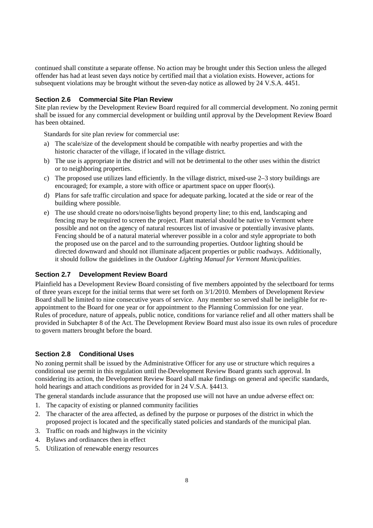continued shall constitute a separate offense. No action may be brought under this Section unless the alleged offender has had at least seven days notice by certified mail that a violation exists. However, actions for subsequent violations may be brought without the seven-day notice as allowed by 24 V.S.A. 4451.

#### **Section 2.6 Commercial Site Plan Review**

Site plan review by the Development Review Board required for all commercial development. No zoning permit shall be issued for any commercial development or building until approval by the Development Review Board has been obtained.

Standards for site plan review for commercial use:

- a) The scale/size of the development should be compatible with nearby properties and with the historic character of the village, if located in the village district.
- b) The use is appropriate in the district and will not be detrimental to the other uses within the district or to neighboring properties.
- c) The proposed use utilizes land efficiently. In the village district, mixed-use 2–3 story buildings are encouraged; for example, a store with office or apartment space on upper floor(s).
- d) Plans for safe traffic circulation and space for adequate parking, located at the side or rear of the building where possible.
- e) The use should create no odors/noise/lights beyond property line; to this end, landscaping and fencing may be required to screen the project. Plant material should be native to Vermont where possible and not on the agency of natural resources list of invasive or potentially invasive plants. Fencing should be of a natural material wherever possible in a color and style appropriate to both the proposed use on the parcel and to the surrounding properties. Outdoor lighting should be directed downward and should not illuminate adjacent properties or public roadways. Additionally, it should follow the guidelines in the *Outdoor Lighting Manual for Vermont Municipalities.*

#### **Section 2.7 Development Review Board**

Plainfield has a Development Review Board consisting of five members appointed by the selectboard for terms of three years except for the initial terms that were set forth on 3/1/2010. Members of Development Review Board shall be limited to nine consecutive years of service. Any member so served shall be ineligible for reappointment to the Board for one year or for appointment to the Planning Commission for one year. Rules of procedure, nature of appeals, public notice, conditions for variance relief and all other matters shall be provided in Subchapter 8 of the Act. The Development Review Board must also issue its own rules of procedure to govern matters brought before the board.

# **Section 2.8 Conditional Uses**

No zoning permit shall be issued by the Administrative Officer for any use or structure which requires a conditional use permit in this regulation until the Development Review Board grants such approval. In considering its action, the Development Review Board shall make findings on general and specific standards, hold hearings and attach conditions as provided for in 24 V.S.A. §4413.

The general standards include assurance that the proposed use will not have an undue adverse effect on:

- 1. The capacity of existing or planned community facilities
- 2. The character of the area affected, as defined by the purpose or purposes of the district in which the proposed project is located and the specifically stated policies and standards of the municipal plan.
- 3. Traffic on roads and highways in the vicinity
- 4. Bylaws and ordinances then in effect
- 5. Utilization of renewable energy resources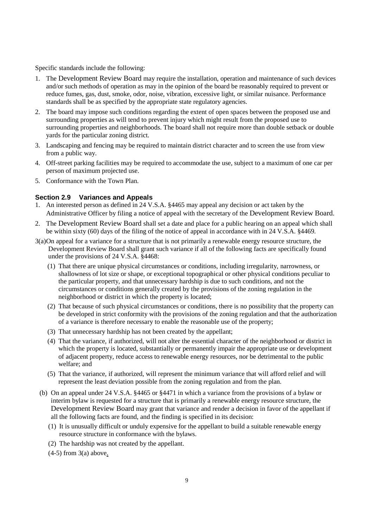Specific standards include the following:

- 1. The Development Review Board may require the installation, operation and maintenance of such devices and/or such methods of operation as may in the opinion of the board be reasonably required to prevent or reduce fumes, gas, dust, smoke, odor, noise, vibration, excessive light, or similar nuisance. Performance standards shall be as specified by the appropriate state regulatory agencies.
- 2. The board may impose such conditions regarding the extent of open spaces between the proposed use and surrounding properties as will tend to prevent injury which might result from the proposed use to surrounding properties and neighborhoods. The board shall not require more than double setback or double yards for the particular zoning district.
- 3. Landscaping and fencing may be required to maintain district character and to screen the use from view from a public way.
- 4. Off-street parking facilities may be required to accommodate the use, subject to a maximum of one car per person of maximum projected use.
- 5. Conformance with the Town Plan.

#### **Section 2.9 Variances and Appeals**

- 1. An interested person as defined in 24 V.S.A. §4465 may appeal any decision or act taken by the Administrative Officer by filing a notice of appeal with the secretary of the Development Review Board.
- 2. The Development Review Board shall set a date and place for a public hearing on an appeal which shall be within sixty (60) days of the filing of the notice of appeal in accordance with in 24 V.S.A. §4469.
- 3(a) On appeal for a variance for a structure that is not primarily a renewable energy resource structure, the Development Review Board shall grant such variance if all of the following facts are specifically found under the provisions of 24 V.S.A. §4468:
	- (1) That there are unique physical circumstances or conditions, including irregularity, narrowness, or shallowness of lot size or shape, or exceptional topographical or other physical conditions peculiar to the particular property, and that unnecessary hardship is due to such conditions, and not the circumstances or conditions generally created by the provisions of the zoning regulation in the neighborhood or district in which the property is located;
	- (2) That because of such physical circumstances or conditions, there is no possibility that the property can be developed in strict conformity with the provisions of the zoning regulation and that the authorization of a variance is therefore necessary to enable the reasonable use of the property;
	- (3) That unnecessary hardship has not been created by the appellant;
	- (4) That the variance, if authorized, will not alter the essential character of the neighborhood or district in which the property is located, substantially or permanently impair the appropriate use or development of adjacent property, reduce access to renewable energy resources, nor be detrimental to the public welfare; and
	- (5) That the variance, if authorized, will represent the minimum variance that will afford relief and will represent the least deviation possible from the zoning regulation and from the plan.
	- (b) On an appeal under 24 V.S.A. §4465 or §4471 in which a variance from the provisions of a bylaw or interim bylaw is requested for a structure that is primarily a renewable energy resource structure, the Development Review Board may grant that variance and render a decision in favor of the appellant if all the following facts are found, and the finding is specified in its decision:
		- (1) It is unusually difficult or unduly expensive for the appellant to build a suitable renewable energy resource structure in conformance with the bylaws.
		- (2) The hardship was not created by the appellant.
		- $(4-5)$  from  $3(a)$  above.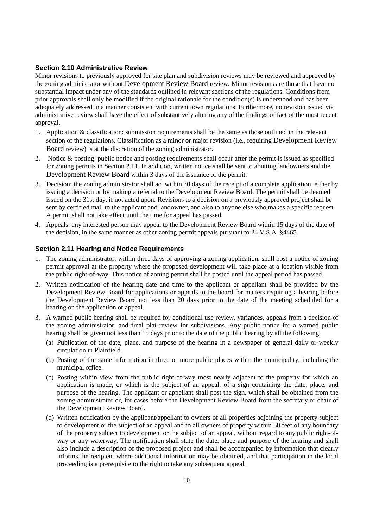#### **Section 2.10 Administrative Review**

Minor revisions to previously approved for site plan and subdivision reviews may be reviewed and approved by the zoning administrator without Development Review Board review. Minor revisions are those that have no substantial impact under any of the standards outlined in relevant sections of the regulations. Conditions from prior approvals shall only be modified if the original rationale for the condition(s) is understood and has been adequately addressed in a manner consistent with current town regulations. Furthermore, no revision issued via administrative review shall have the effect of substantively altering any of the findings of fact of the most recent approval.

- 1. Application & classification: submission requirements shall be the same as those outlined in the relevant section of the regulations. Classification as a minor or major revision (i.e., requiring Development Review Board review) is at the discretion of the zoning administrator.
- 2. Notice & posting: public notice and posting requirements shall occur after the permit is issued as specified for zoning permits in Section 2.11. In addition, written notice shall be sent to abutting landowners and the Development Review Board within 3 days of the issuance of the permit.
- 3. Decision: the zoning administrator shall act within 30 days of the receipt of a complete application, either by issuing a decision or by making a referral to the Development Review Board. The permit shall be deemed issued on the 31st day, if not acted upon. Revisions to a decision on a previously approved project shall be sent by certified mail to the applicant and landowner, and also to anyone else who makes a specific request. A permit shall not take effect until the time for appeal has passed.
- 4. Appeals: any interested person may appeal to the Development Review Board within 15 days of the date of the decision, in the same manner as other zoning permit appeals pursuant to 24 V.S.A. §4465.

#### **Section 2.11 Hearing and Notice Requirements**

- 1. The zoning administrator, within three days of approving a zoning application, shall post a notice of zoning permit approval at the property where the proposed development will take place at a location visible from the public right-of-way. This notice of zoning permit shall be posted until the appeal period has passed.
- 2. Written notification of the hearing date and time to the applicant or appellant shall be provided by the Development Review Board for applications or appeals to the board for matters requiring a hearing before the Development Review Board not less than 20 days prior to the date of the meeting scheduled for a hearing on the application or appeal.
- 3. A warned public hearing shall be required for conditional use review, variances, appeals from a decision of the zoning administrator, and final plat review for subdivisions. Any public notice for a warned public hearing shall be given not less than 15 days prior to the date of the public hearing by all the following:
	- (a) Publication of the date, place, and purpose of the hearing in a newspaper of general daily or weekly circulation in Plainfield.
	- (b) Posting of the same information in three or more public places within the municipality, including the municipal office.
	- (c) Posting within view from the public right-of-way most nearly adjacent to the property for which an application is made, or which is the subject of an appeal, of a sign containing the date, place, and purpose of the hearing. The applicant or appellant shall post the sign, which shall be obtained from the zoning administrator or, for cases before the Development Review Board from the secretary or chair of the Development Review Board.
	- (d) Written notification by the applicant/appellant to owners of all properties adjoining the property subject to development or the subject of an appeal and to all owners of property within 50 feet of any boundary of the property subject to development or the subject of an appeal, without regard to any public right-ofway or any waterway. The notification shall state the date, place and purpose of the hearing and shall also include a description of the proposed project and shall be accompanied by information that clearly informs the recipient where additional information may be obtained, and that participation in the local proceeding is a prerequisite to the right to take any subsequent appeal.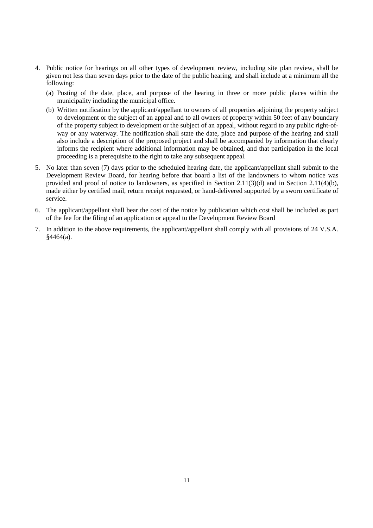- 4. Public notice for hearings on all other types of development review, including site plan review, shall be given not less than seven days prior to the date of the public hearing, and shall include at a minimum all the following:
	- (a) Posting of the date, place, and purpose of the hearing in three or more public places within the municipality including the municipal office.
	- (b) Written notification by the applicant/appellant to owners of all properties adjoining the property subject to development or the subject of an appeal and to all owners of property within 50 feet of any boundary of the property subject to development or the subject of an appeal, without regard to any public right-ofway or any waterway. The notification shall state the date, place and purpose of the hearing and shall also include a description of the proposed project and shall be accompanied by information that clearly informs the recipient where additional information may be obtained, and that participation in the local proceeding is a prerequisite to the right to take any subsequent appeal.
- 5. No later than seven (7) days prior to the scheduled hearing date, the applicant/appellant shall submit to the Development Review Board, for hearing before that board a list of the landowners to whom notice was provided and proof of notice to landowners, as specified in Section 2.11(3)(d) and in Section 2.11(4)(b), made either by certified mail, return receipt requested, or hand-delivered supported by a sworn certificate of service.
- 6. The applicant/appellant shall bear the cost of the notice by publication which cost shall be included as part of the fee for the filing of an application or appeal to the Development Review Board
- 7. In addition to the above requirements, the applicant/appellant shall comply with all provisions of 24 V.S.A. §4464(a).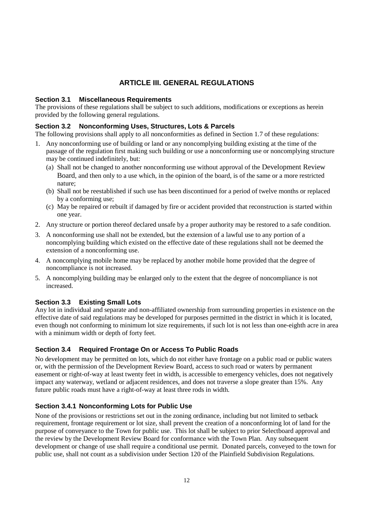# **ARTICLE III. GENERAL REGULATIONS**

#### **Section 3.1 Miscellaneous Requirements**

The provisions of these regulations shall be subject to such additions, modifications or exceptions as herein provided by the following general regulations.

#### **Section 3.2 Nonconforming Uses, Structures, Lots & Parcels**

The following provisions shall apply to all nonconformities as defined in Section 1.7 of these regulations:

- 1. Any nonconforming use of building or land or any noncomplying building existing at the time of the passage of the regulation first making such building or use a nonconforming use or noncomplying structure may be continued indefinitely, but:
	- (a) Shall not be changed to another nonconforming use without approval of the Development Review Board, and then only to a use which, in the opinion of the board, is of the same or a more restricted nature;
	- (b) Shall not be reestablished if such use has been discontinued for a period of twelve months or replaced by a conforming use;
	- (c) May be repaired or rebuilt if damaged by fire or accident provided that reconstruction is started within one year.
- 2. Any structure or portion thereof declared unsafe by a proper authority may be restored to a safe condition.
- 3. A nonconforming use shall not be extended, but the extension of a lawful use to any portion of a noncomplying building which existed on the effective date of these regulations shall not be deemed the extension of a nonconforming use.
- 4. A noncomplying mobile home may be replaced by another mobile home provided that the degree of noncompliance is not increased.
- 5. A noncomplying building may be enlarged only to the extent that the degree of noncompliance is not increased.

#### **Section 3.3 Existing Small Lots**

Any lot in individual and separate and non-affiliated ownership from surrounding properties in existence on the effective date of said regulations may be developed for purposes permitted in the district in which it is located, even though not conforming to minimum lot size requirements, if such lot is not less than one-eighth acre in area with a minimum width or depth of forty feet.

#### **Section 3.4 Required Frontage On or Access To Public Roads**

No development may be permitted on lots, which do not either have frontage on a public road or public waters or, with the permission of the Development Review Board, access to such road or waters by permanent easement or right-of-way at least twenty feet in width, is accessible to emergency vehicles, does not negatively impact any waterway, wetland or adjacent residences, and does not traverse a slope greater than 15%. Any future public roads must have a right-of-way at least three rods in width.

#### **Section 3.4.1 Nonconforming Lots for Public Use**

None of the provisions or restrictions set out in the zoning ordinance, including but not limited to setback requirement, frontage requirement or lot size, shall prevent the creation of a nonconforming lot of land for the purpose of conveyance to the Town for public use. This lot shall be subject to prior Selectboard approval and the review by the Development Review Board for conformance with the Town Plan. Any subsequent development or change of use shall require a conditional use permit. Donated parcels, conveyed to the town for public use, shall not count as a subdivision under Section 120 of the Plainfield Subdivision Regulations.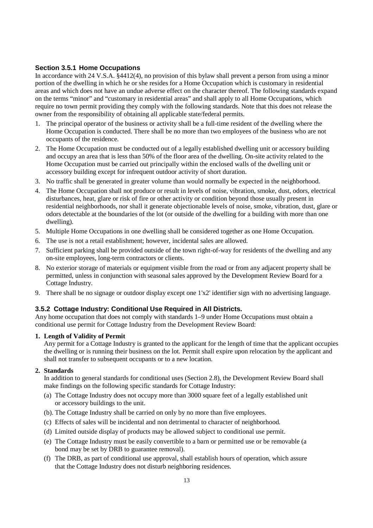#### **Section 3.5.1 Home Occupations**

In accordance with 24 V.S.A. §4412(4), no provision of this bylaw shall prevent a person from using a minor portion of the dwelling in which he or she resides for a Home Occupation which is customary in residential areas and which does not have an undue adverse effect on the character thereof. The following standards expand on the terms "minor" and "customary in residential areas" and shall apply to all Home Occupations, which require no town permit providing they comply with the following standards. Note that this does not release the owner from the responsibility of obtaining all applicable state/federal permits.

- 1. The principal operator of the business or activity shall be a full-time resident of the dwelling where the Home Occupation is conducted. There shall be no more than two employees of the business who are not occupants of the residence.
- 2. The Home Occupation must be conducted out of a legally established dwelling unit or accessory building and occupy an area that is less than 50% of the floor area of the dwelling. On-site activity related to the Home Occupation must be carried out principally within the enclosed walls of the dwelling unit or accessory building except for infrequent outdoor activity of short duration.
- 3. No traffic shall be generated in greater volume than would normally be expected in the neighborhood.
- 4. The Home Occupation shall not produce or result in levels of noise, vibration, smoke, dust, odors, electrical disturbances, heat, glare or risk of fire or other activity or condition beyond those usually present in residential neighborhoods, nor shall it generate objectionable levels of noise, smoke, vibration, dust, glare or odors detectable at the boundaries of the lot (or outside of the dwelling for a building with more than one dwelling).
- 5. Multiple Home Occupations in one dwelling shall be considered together as one Home Occupation.
- 6. The use is not a retail establishment; however, incidental sales are allowed.
- 7. Sufficient parking shall be provided outside of the town right-of-way for residents of the dwelling and any on-site employees, long-term contractors or clients.
- 8. No exterior storage of materials or equipment visible from the road or from any adjacent property shall be permitted, unless in conjunction with seasonal sales approved by the Development Review Board for a Cottage Industry.
- 9. There shall be no signage or outdoor display except one 1'x2' identifier sign with no advertising language.

#### **3.5.2 Cottage Industry: Conditional Use Required in All Districts.**

Any home occupation that does not comply with standards 1–9 under Home Occupations must obtain a conditional use permit for Cottage Industry from the Development Review Board:

#### **1. Length of Validity of Permit**

Any permit for a Cottage Industry is granted to the applicant for the length of time that the applicant occupies the dwelling or is running their business on the lot. Permit shall expire upon relocation by the applicant and shall not transfer to subsequent occupants or to a new location.

#### **2. Standards**

In addition to general standards for conditional uses (Section 2.8), the Development Review Board shall make findings on the following specific standards for Cottage Industry:

- (a) The Cottage Industry does not occupy more than 3000 square feet of a legally established unit or accessory buildings to the unit.
- (b). The Cottage Industry shall be carried on only by no more than five employees.
- (c) Effects of sales will be incidental and non detrimental to character of neighborhood*.*
- (d) Limited outside display of products may be allowed subject to conditional use permit.
- (e) The Cottage Industry must be easily convertible to a barn or permitted use or be removable (a bond may be set by DRB to guarantee removal).
- (f) The DRB, as part of conditional use approval, shall establish hours of operation, which assure that the Cottage Industry does not disturb neighboring residences.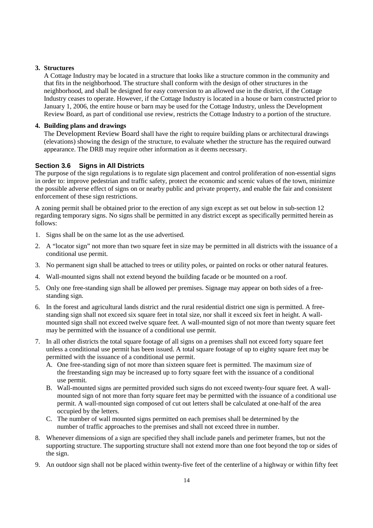#### **3. Structures**

A Cottage Industry may be located in a structure that looks like a structure common in the community and that fits in the neighborhood. The structure shall conform with the design of other structures in the neighborhood, and shall be designed for easy conversion to an allowed use in the district, if the Cottage Industry ceases to operate. However, if the Cottage Industry is located in a house or barn constructed prior to January 1, 2006, the entire house or barn may be used for the Cottage Industry, unless the Development Review Board, as part of conditional use review, restricts the Cottage Industry to a portion of the structure.

#### **4. Building plans and drawings**

The Development Review Board shall have the right to require building plans or architectural drawings (elevations) showing the design of the structure, to evaluate whether the structure has the required outward appearance. The DRB may require other information as it deems necessary.

#### **Section 3.6 Signs in All Districts**

The purpose of the sign regulations is to regulate sign placement and control proliferation of non-essential signs in order to: improve pedestrian and traffic safety, protect the economic and scenic values of the town, minimize the possible adverse effect of signs on or nearby public and private property, and enable the fair and consistent enforcement of these sign restrictions.

A zoning permit shall be obtained prior to the erection of any sign except as set out below in sub-section 12 regarding temporary signs. No signs shall be permitted in any district except as specifically permitted herein as follows:

- 1. Signs shall be on the same lot as the use advertised.
- 2. A "locator sign" not more than two square feet in size may be permitted in all districts with the issuance of a conditional use permit.
- 3. No permanent sign shall be attached to trees or utility poles, or painted on rocks or other natural features.
- 4. Wall-mounted signs shall not extend beyond the building facade or be mounted on a roof.
- 5. Only one free-standing sign shall be allowed per premises. Signage may appear on both sides of a freestanding sign.
- 6. In the forest and agricultural lands district and the rural residential district one sign is permitted. A freestanding sign shall not exceed six square feet in total size, nor shall it exceed six feet in height. A wallmounted sign shall not exceed twelve square feet. A wall-mounted sign of not more than twenty square feet may be permitted with the issuance of a conditional use permit.
- 7. In all other districts the total square footage of all signs on a premises shall not exceed forty square feet unless a conditional use permit has been issued. A total square footage of up to eighty square feet may be permitted with the issuance of a conditional use permit.
	- A. One free-standing sign of not more than sixteen square feet is permitted. The maximum size of the freestanding sign may be increased up to forty square feet with the issuance of a conditional use permit.
	- B. Wall-mounted signs are permitted provided such signs do not exceed twenty-four square feet. A wallmounted sign of not more than forty square feet may be permitted with the issuance of a conditional use permit. A wall-mounted sign composed of cut out letters shall be calculated at one-half of the area occupied by the letters.
	- C. The number of wall mounted signs permitted on each premises shall be determined by the number of traffic approaches to the premises and shall not exceed three in number.
- 8. Whenever dimensions of a sign are specified they shall include panels and perimeter frames, but not the supporting structure. The supporting structure shall not extend more than one foot beyond the top or sides of the sign.
- 9. An outdoor sign shall not be placed within twenty-five feet of the centerline of a highway or within fifty feet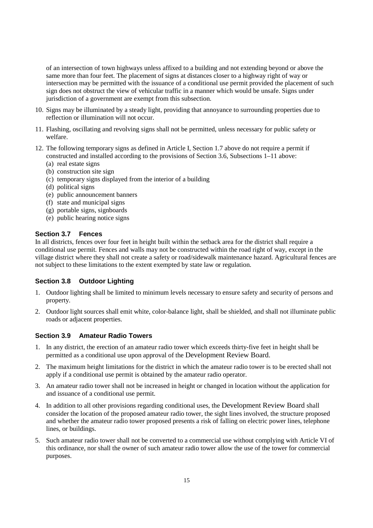of an intersection of town highways unless affixed to a building and not extending beyond or above the same more than four feet. The placement of signs at distances closer to a highway right of way or intersection may be permitted with the issuance of a conditional use permit provided the placement of such sign does not obstruct the view of vehicular traffic in a manner which would be unsafe. Signs under jurisdiction of a government are exempt from this subsection.

- 10. Signs may be illuminated by a steady light, providing that annoyance to surrounding properties due to reflection or illumination will not occur.
- 11. Flashing, oscillating and revolving signs shall not be permitted, unless necessary for public safety or welfare.
- 12. The following temporary signs as defined in Article I, Section 1.7 above do not require a permit if constructed and installed according to the provisions of Section 3.6, Subsections 1–11 above:
	- (a) real estate signs
	- (b) construction site sign
	- (c) temporary signs displayed from the interior of a building
	- (d) political signs
	- (e) public announcement banners
	- (f) state and municipal signs
	- (g) portable signs, signboards
	- (e) public hearing notice signs

#### **Section 3.7 Fences**

In all districts, fences over four feet in height built within the setback area for the district shall require a conditional use permit. Fences and walls may not be constructed within the road right of way, except in the village district where they shall not create a safety or road/sidewalk maintenance hazard. Agricultural fences are not subject to these limitations to the extent exempted by state law or regulation.

#### **Section 3.8 Outdoor Lighting**

- 1. Outdoor lighting shall be limited to minimum levels necessary to ensure safety and security of persons and property.
- 2. Outdoor light sources shall emit white, color-balance light, shall be shielded, and shall not illuminate public roads or adjacent properties.

#### **Section 3.9 Amateur Radio Towers**

- 1. In any district, the erection of an amateur radio tower which exceeds thirty-five feet in height shall be permitted as a conditional use upon approval of the Development Review Board.
- 2. The maximum height limitations for the district in which the amateur radio tower is to be erected shall not apply if a conditional use permit is obtained by the amateur radio operator.
- 3. An amateur radio tower shall not be increased in height or changed in location without the application for and issuance of a conditional use permit.
- 4. In addition to all other provisions regarding conditional uses, the Development Review Board shall consider the location of the proposed amateur radio tower, the sight lines involved, the structure proposed and whether the amateur radio tower proposed presents a risk of falling on electric power lines, telephone lines, or buildings.
- 5. Such amateur radio tower shall not be converted to a commercial use without complying with Article VI of this ordinance, nor shall the owner of such amateur radio tower allow the use of the tower for commercial purposes.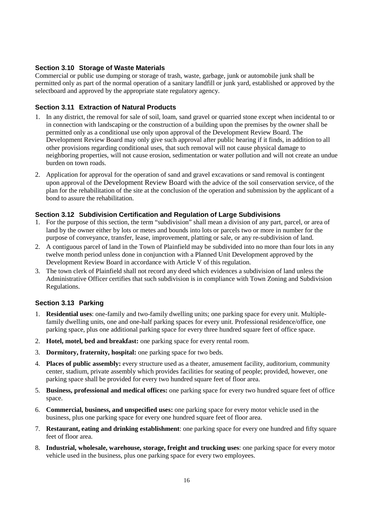## **Section 3.10 Storage of Waste Materials**

Commercial or public use dumping or storage of trash, waste, garbage, junk or automobile junk shall be permitted only as part of the normal operation of a sanitary landfill or junk yard, established or approved by the selectboard and approved by the appropriate state regulatory agency.

#### **Section 3.11 Extraction of Natural Products**

- 1. In any district, the removal for sale of soil, loam, sand gravel or quarried stone except when incidental to or in connection with landscaping or the construction of a building upon the premises by the owner shall be permitted only as a conditional use only upon approval of the Development Review Board. The Development Review Board may only give such approval after public hearing if it finds, in addition to all other provisions regarding conditional uses, that such removal will not cause physical damage to neighboring properties, will not cause erosion, sedimentation or water pollution and will not create an undue burden on town roads.
- 2. Application for approval for the operation of sand and gravel excavations or sand removal is contingent upon approval of the Development Review Board with the advice of the soil conservation service, of the plan for the rehabilitation of the site at the conclusion of the operation and submission by the applicant of a bond to assure the rehabilitation.

#### **Section 3.12 Subdivision Certification and Regulation of Large Subdivisions**

- 1. For the purpose of this section, the term "subdivision" shall mean a division of any part, parcel, or area of land by the owner either by lots or metes and bounds into lots or parcels two or more in number for the purpose of conveyance, transfer, lease, improvement, platting or sale, or any re-subdivision of land.
- 2. A contiguous parcel of land in the Town of Plainfield may be subdivided into no more than four lots in any twelve month period unless done in conjunction with a Planned Unit Development approved by the Development Review Board in accordance with Article V of this regulation.
- 3. The town clerk of Plainfield shall not record any deed which evidences a subdivision of land unless the Administrative Officer certifies that such subdivision is in compliance with Town Zoning and Subdivision Regulations.

#### **Section 3.13 Parking**

- 1. **Residential uses**: one-family and two-family dwelling units; one parking space for every unit. Multiplefamily dwelling units, one and one-half parking spaces for every unit. Professional residence/office, one parking space, plus one additional parking space for every three hundred square feet of office space.
- 2. **Hotel, motel, bed and breakfast:** one parking space for every rental room.
- 3. **Dormitory, fraternity, hospital:** one parking space for two beds.
- 4. **Places of public assembly:** every structure used as a theater, amusement facility, auditorium, community center, stadium, private assembly which provides facilities for seating of people; provided, however, one parking space shall be provided for every two hundred square feet of floor area.
- 5. **Business, professional and medical offices:** one parking space for every two hundred square feet of office space.
- 6. **Commercial, business, and unspecified uses:** one parking space for every motor vehicle used in the business, plus one parking space for every one hundred square feet of floor area.
- 7. **Restaurant, eating and drinking establishment**: one parking space for every one hundred and fifty square feet of floor area.
- 8. **Industrial, wholesale, warehouse, storage, freight and trucking uses**: one parking space for every motor vehicle used in the business, plus one parking space for every two employees.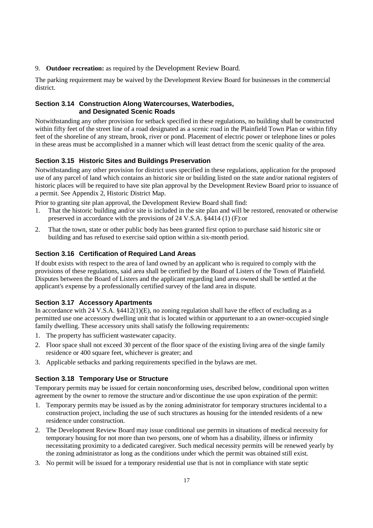9. **Outdoor recreation:** as required by the Development Review Board.

The parking requirement may be waived by the Development Review Board for businesses in the commercial district.

#### **Section 3.14 Construction Along Watercourses, Waterbodies, and Designated Scenic Roads**

Notwithstanding any other provision for setback specified in these regulations, no building shall be constructed within fifty feet of the street line of a road designated as a scenic road in the Plainfield Town Plan or within fifty feet of the shoreline of any stream, brook, river or pond. Placement of electric power or telephone lines or poles in these areas must be accomplished in a manner which will least detract from the scenic quality of the area.

# **Section 3.15 Historic Sites and Buildings Preservation**

Notwithstanding any other provision for district uses specified in these regulations, application for the proposed use of any parcel of land which contains an historic site or building listed on the state and/or national registers of historic places will be required to have site plan approval by the Development Review Board prior to issuance of a permit. See Appendix 2, Historic District Map.

Prior to granting site plan approval, the Development Review Board shall find:

- 1. That the historic building and/or site is included in the site plan and will be restored, renovated or otherwise preserved in accordance with the provisions of 24 V.S.A. §4414 (1) (F):or
- 2. That the town, state or other public body has been granted first option to purchase said historic site or building and has refused to exercise said option within a six-month period.

#### **Section 3.16 Certification of Required Land Areas**

If doubt exists with respect to the area of land owned by an applicant who is required to comply with the provisions of these regulations, said area shall be certified by the Board of Listers of the Town of Plainfield. Disputes between the Board of Listers and the applicant regarding land area owned shall be settled at the applicant's expense by a professionally certified survey of the land area in dispute.

#### **Section 3.17 Accessory Apartments**

In accordance with 24 V.S.A. §4412(1)(E), no zoning regulation shall have the effect of excluding as a permitted use one accessory dwelling unit that is located within or appurtenant to a an owner-occupied single family dwelling. These accessory units shall satisfy the following requirements:

- 1. The property has sufficient wastewater capacity.
- 2. Floor space shall not exceed 30 percent of the floor space of the existing living area of the single family residence or 400 square feet, whichever is greater; and
- 3. Applicable setbacks and parking requirements specified in the bylaws are met.

#### **Section 3.18 Temporary Use or Structure**

Temporary permits may be issued for certain nonconforming uses, described below, conditional upon written agreement by the owner to remove the structure and/or discontinue the use upon expiration of the permit:

- 1. Temporary permits may be issued as by the zoning administrator for temporary structures incidental to a construction project, including the use of such structures as housing for the intended residents of a new residence under construction.
- 2. The Development Review Board may issue conditional use permits in situations of medical necessity for temporary housing for not more than two persons, one of whom has a disability, illness or infirmity necessitating proximity to a dedicated caregiver. Such medical necessity permits will be renewed yearly by the zoning administrator as long as the conditions under which the permit was obtained still exist.
- 3. No permit will be issued for a temporary residential use that is not in compliance with state septic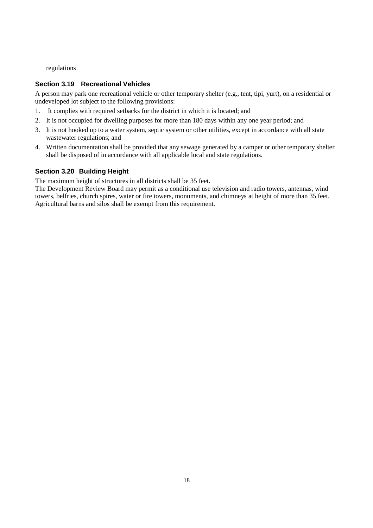regulations

## **Section 3.19 Recreational Vehicles**

A person may park one recreational vehicle or other temporary shelter (e.g., tent, tipi, yurt), on a residential or undeveloped lot subject to the following provisions:

- 1. It complies with required setbacks for the district in which it is located; and
- 2. It is not occupied for dwelling purposes for more than 180 days within any one year period; and
- 3. It is not hooked up to a water system, septic system or other utilities, except in accordance with all state wastewater regulations; and
- 4. Written documentation shall be provided that any sewage generated by a camper or other temporary shelter shall be disposed of in accordance with all applicable local and state regulations.

#### **Section 3.20 Building Height**

The maximum height of structures in all districts shall be 35 feet.

The Development Review Board may permit as a conditional use television and radio towers, antennas, wind towers, belfries, church spires, water or fire towers, monuments, and chimneys at height of more than 35 feet. Agricultural barns and silos shall be exempt from this requirement.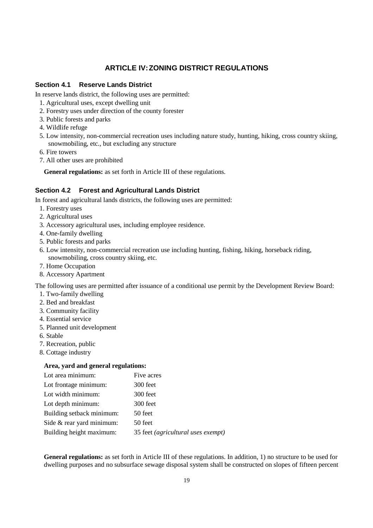# **ARTICLE IV: ZONING DISTRICT REGULATIONS**

#### **Section 4.1 Reserve Lands District**

In reserve lands district, the following uses are permitted:

- 1. Agricultural uses, except dwelling unit
- 2. Forestry uses under direction of the county forester
- 3. Public forests and parks
- 4. Wildlife refuge
- 5. Low intensity, non-commercial recreation uses including nature study, hunting, hiking, cross country skiing, snowmobiling, etc., but excluding any structure
- 6. Fire towers
- 7. All other uses are prohibited

**General regulations:** as set forth in Article III of these regulations.

## **Section 4.2 Forest and Agricultural Lands District**

In forest and agricultural lands districts, the following uses are permitted:

- 1. Forestry uses
- 2. Agricultural uses
- 3. Accessory agricultural uses, including employee residence.
- 4. One-family dwelling
- 5. Public forests and parks
- 6. Low intensity, non-commercial recreation use including hunting, fishing, hiking, horseback riding, snowmobiling, cross country skiing, etc.
- 7. Home Occupation
- 8. Accessory Apartment

The following uses are permitted after issuance of a conditional use permit by the Development Review Board:

- 1. Two-family dwelling
- 2. Bed and breakfast
- 3. Community facility
- 4. Essential service
- 5. Planned unit development
- 6. Stable
- 7. Recreation, public
- 8. Cottage industry

#### **Area, yard and general regulations:**

| Lot area minimum:         | Five acres                         |
|---------------------------|------------------------------------|
| Lot frontage minimum:     | 300 feet                           |
| Lot width minimum:        | 300 feet                           |
| Lot depth minimum:        | 300 feet                           |
| Building setback minimum: | 50 feet                            |
| Side & rear yard minimum: | 50 feet                            |
| Building height maximum:  | 35 feet (agricultural uses exempt) |

**General regulations:** as set forth in Article III of these regulations. In addition, 1) no structure to be used for dwelling purposes and no subsurface sewage disposal system shall be constructed on slopes of fifteen percent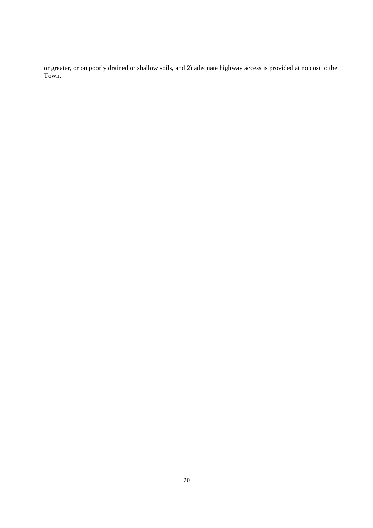or greater, or on poorly drained or shallow soils, and 2) adequate highway access is provided at no cost to the Town.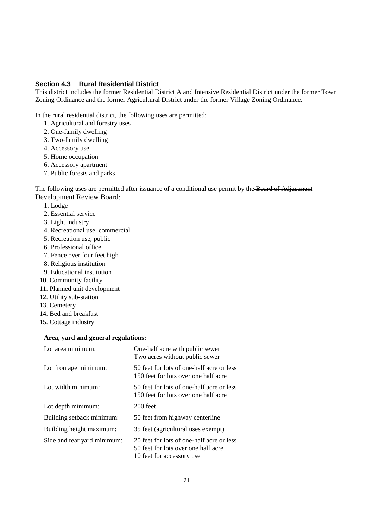#### **Section 4.3 Rural Residential District**

This district includes the former Residential District A and Intensive Residential District under the former Town Zoning Ordinance and the former Agricultural District under the former Village Zoning Ordinance.

In the rural residential district, the following uses are permitted:

- 1. Agricultural and forestry uses
- 2. One-family dwelling
- 3. Two-family dwelling
- 4. Accessory use
- 5. Home occupation
- 6. Accessory apartment
- 7. Public forests and parks

The following uses are permitted after issuance of a conditional use permit by the Board of Adjustment Development Review Board:

- 1. Lodge
- 2. Essential service
- 3. Light industry
- 4. Recreational use, commercial
- 5. Recreation use, public
- 6. Professional office
- 7. Fence over four feet high
- 8. Religious institution
- 9. Educational institution
- 10. Community facility
- 11. Planned unit development
- 12. Utility sub-station
- 13. Cemetery
- 14. Bed and breakfast
- 15. Cottage industry

#### **Area, yard and general regulations:**

| Lot area minimum:           | One-half acre with public sewer<br>Two acres without public sewer                                              |  |
|-----------------------------|----------------------------------------------------------------------------------------------------------------|--|
| Lot frontage minimum:       | 50 feet for lots of one-half acre or less<br>150 feet for lots over one half acre                              |  |
| Lot width minimum:          | 50 feet for lots of one-half acre or less<br>150 feet for lots over one half acre                              |  |
| Lot depth minimum:          | $200$ feet                                                                                                     |  |
| Building setback minimum:   | 50 feet from highway centerline                                                                                |  |
| Building height maximum:    | 35 feet (agricultural uses exempt)                                                                             |  |
| Side and rear yard minimum: | 20 feet for lots of one-half acre or less<br>50 feet for lots over one half acre<br>10 feet for accessory use. |  |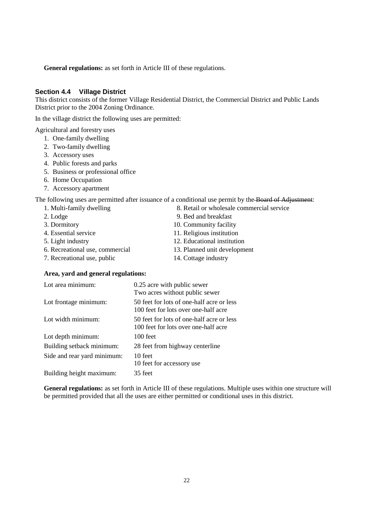**General regulations:** as set forth in Article III of these regulations.

#### **Section 4.4 Village District**

This district consists of the former Village Residential District, the Commercial District and Public Lands District prior to the 2004 Zoning Ordinance.

In the village district the following uses are permitted:

Agricultural and forestry uses

- 1. One-family dwelling
- 2. Two-family dwelling
- 3. Accessory uses
- 4. Public forests and parks
- 5. Business or professional office
- 6. Home Occupation
- 7. Accessory apartment

The following uses are permitted after issuance of a conditional use permit by the **Board of Adjustment**:

- 1. Multi-family dwelling 8. Retail or wholesale commercial service
- 2. Lodge 9. Bed and breakfast
- 3. Dormitory 10. Community facility
- 4. Essential service 11. Religious institution
- 
- 6. Recreational use, commercial 13. Planned unit development
- 7. Recreational use, public 14. Cottage industry
- 5. Light industry 12. Educational institution
	-
	-

#### **Area, yard and general regulations:**

| Lot area minimum:           | 0.25 acre with public sewer<br>Two acres without public sewer                     |
|-----------------------------|-----------------------------------------------------------------------------------|
| Lot frontage minimum:       | 50 feet for lots of one-half acre or less<br>100 feet for lots over one-half acre |
| Lot width minimum:          | 50 feet for lots of one-half acre or less<br>100 feet for lots over one-half acre |
| Lot depth minimum:          | 100 feet                                                                          |
| Building setback minimum:   | 28 feet from highway centerline                                                   |
| Side and rear yard minimum: | 10 feet<br>10 feet for accessory use                                              |
| Building height maximum:    | 35 feet                                                                           |

**General regulations:** as set forth in Article III of these regulations. Multiple uses within one structure will be permitted provided that all the uses are either permitted or conditional uses in this district.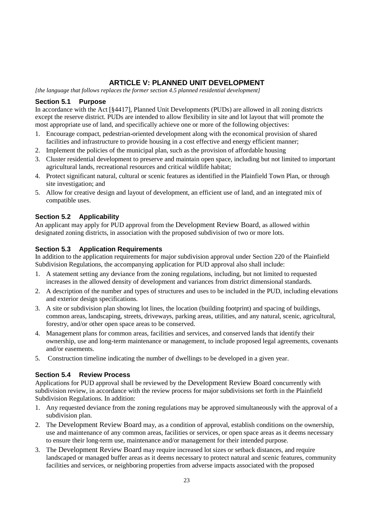# **ARTICLE V: PLANNED UNIT DEVELOPMENT**

*[the language that follows replaces the former section 4.5 planned residential development]* 

## **Section 5.1 Purpose**

In accordance with the Act [§4417], Planned Unit Developments (PUDs) are allowed in all zoning districts except the reserve district. PUDs are intended to allow flexibility in site and lot layout that will promote the most appropriate use of land, and specifically achieve one or more of the following objectives:

- 1. Encourage compact, pedestrian-oriented development along with the economical provision of shared facilities and infrastructure to provide housing in a cost effective and energy efficient manner;
- 2. Implement the policies of the municipal plan, such as the provision of affordable housing
- 3. Cluster residential development to preserve and maintain open space, including but not limited to important agricultural lands, recreational resources and critical wildlife habitat;
- 4. Protect significant natural, cultural or scenic features as identified in the Plainfield Town Plan, or through site investigation; and
- 5. Allow for creative design and layout of development, an efficient use of land, and an integrated mix of compatible uses.

# **Section 5.2 Applicability**

An applicant may apply for PUD approval from the Development Review Board, as allowed within designated zoning districts, in association with the proposed subdivision of two or more lots.

# **Section 5.3 Application Requirements**

In addition to the application requirements for major subdivision approval under Section 220 of the Plainfield Subdivision Regulations, the accompanying application for PUD approval also shall include:

- 1. A statement setting any deviance from the zoning regulations, including, but not limited to requested increases in the allowed density of development and variances from district dimensional standards.
- 2. A description of the number and types of structures and uses to be included in the PUD, including elevations and exterior design specifications.
- 3. A site or subdivision plan showing lot lines, the location (building footprint) and spacing of buildings, common areas, landscaping, streets, driveways, parking areas, utilities, and any natural, scenic, agricultural, forestry, and/or other open space areas to be conserved.
- 4. Management plans for common areas, facilities and services, and conserved lands that identify their ownership, use and long-term maintenance or management, to include proposed legal agreements, covenants and/or easements.
- 5. Construction timeline indicating the number of dwellings to be developed in a given year.

# **Section 5.4 Review Process**

Applications for PUD approval shall be reviewed by the Development Review Board concurrently with subdivision review, in accordance with the review process for major subdivisions set forth in the Plainfield Subdivision Regulations. In addition:

- 1. Any requested deviance from the zoning regulations may be approved simultaneously with the approval of a subdivision plan.
- 2. The Development Review Board may, as a condition of approval, establish conditions on the ownership, use and maintenance of any common areas, facilities or services, or open space areas as it deems necessary to ensure their long-term use, maintenance and/or management for their intended purpose.
- 3. The Development Review Board may require increased lot sizes or setback distances, and require landscaped or managed buffer areas as it deems necessary to protect natural and scenic features, community facilities and services, or neighboring properties from adverse impacts associated with the proposed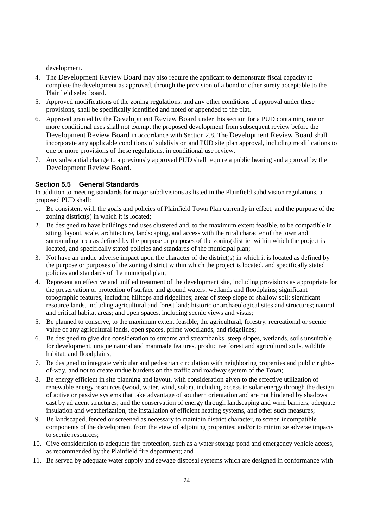development.

- 4. The Development Review Board may also require the applicant to demonstrate fiscal capacity to complete the development as approved, through the provision of a bond or other surety acceptable to the Plainfield selectboard.
- 5. Approved modifications of the zoning regulations, and any other conditions of approval under these provisions, shall be specifically identified and noted or appended to the plat.
- 6. Approval granted by the Development Review Board under this section for a PUD containing one or more conditional uses shall not exempt the proposed development from subsequent review before the Development Review Board in accordance with Section 2.8. The Development Review Board shall incorporate any applicable conditions of subdivision and PUD site plan approval, including modifications to one or more provisions of these regulations, in conditional use review.
- 7. Any substantial change to a previously approved PUD shall require a public hearing and approval by the Development Review Board.

#### **Section 5.5 General Standards**

In addition to meeting standards for major subdivisions as listed in the Plainfield subdivision regulations, a proposed PUD shall:

- 1. Be consistent with the goals and policies of Plainfield Town Plan currently in effect, and the purpose of the zoning district(s) in which it is located;
- 2. Be designed to have buildings and uses clustered and, to the maximum extent feasible, to be compatible in siting, layout, scale, architecture, landscaping, and access with the rural character of the town and surrounding area as defined by the purpose or purposes of the zoning district within which the project is located, and specifically stated policies and standards of the municipal plan;
- 3. Not have an undue adverse impact upon the character of the district(s) in which it is located as defined by the purpose or purposes of the zoning district within which the project is located, and specifically stated policies and standards of the municipal plan;
- 4. Represent an effective and unified treatment of the development site, including provisions as appropriate for the preservation or protection of surface and ground waters; wetlands and floodplains; significant topographic features, including hilltops and ridgelines; areas of steep slope or shallow soil; significant resource lands, including agricultural and forest land; historic or archaeological sites and structures; natural and critical habitat areas; and open spaces, including scenic views and vistas;
- 5. Be planned to conserve, to the maximum extent feasible, the agricultural, forestry, recreational or scenic value of any agricultural lands, open spaces, prime woodlands, and ridgelines;
- 6. Be designed to give due consideration to streams and streambanks, steep slopes, wetlands, soils unsuitable for development, unique natural and manmade features, productive forest and agricultural soils, wildlife habitat, and floodplains;
- 7. Be designed to integrate vehicular and pedestrian circulation with neighboring properties and public rightsof-way, and not to create undue burdens on the traffic and roadway system of the Town;
- 8. Be energy efficient in site planning and layout, with consideration given to the effective utilization of renewable energy resources (wood, water, wind, solar), including access to solar energy through the design of active or passive systems that take advantage of southern orientation and are not hindered by shadows cast by adjacent structures; and the conservation of energy through landscaping and wind barriers, adequate insulation and weatherization, the installation of efficient heating systems, and other such measures;
- 9. Be landscaped, fenced or screened as necessary to maintain district character, to screen incompatible components of the development from the view of adjoining properties; and/or to minimize adverse impacts to scenic resources;
- 10. Give consideration to adequate fire protection, such as a water storage pond and emergency vehicle access, as recommended by the Plainfield fire department; and
- 11. Be served by adequate water supply and sewage disposal systems which are designed in conformance with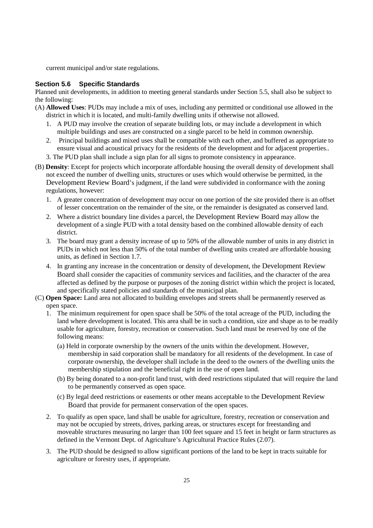current municipal and/or state regulations.

#### **Section 5.6 Specific Standards**

Planned unit developments, in addition to meeting general standards under Section 5.5, shall also be subject to the following:

- (A) **Allowed Uses**: PUDs may include a mix of uses, including any permitted or conditional use allowed in the district in which it is located, and multi-family dwelling units if otherwise not allowed.
	- 1. A PUD may involve the creation of separate building lots, or may include a development in which multiple buildings and uses are constructed on a single parcel to be held in common ownership.
	- 2. Principal buildings and mixed uses shall be compatible with each other, and buffered as appropriate to ensure visual and acoustical privacy for the residents of the development and for adjacent properties..
	- 3. The PUD plan shall include a sign plan for all signs to promote consistency in appearance.
- (B) **Density**: Except for projects which incorporate affordable housing the overall density of development shall not exceed the number of dwelling units, structures or uses which would otherwise be permitted, in the Development Review Board's judgment, if the land were subdivided in conformance with the zoning regulations, however:
	- 1. A greater concentration of development may occur on one portion of the site provided there is an offset of lesser concentration on the remainder of the site, or the remainder is designated as conserved land.
	- 2. Where a district boundary line divides a parcel, the Development Review Board may allow the development of a single PUD with a total density based on the combined allowable density of each district.
	- 3. The board may grant a density increase of up to 50% of the allowable number of units in any district in PUDs in which not less than 50% of the total number of dwelling units created are affordable housing units, as defined in Section 1.7.
	- 4. In granting any increase in the concentration or density of development, the Development Review Board shall consider the capacities of community services and facilities, and the character of the area affected as defined by the purpose or purposes of the zoning district within which the project is located, and specifically stated policies and standards of the municipal plan.
- (C) **Open Space:** Land area not allocated to building envelopes and streets shall be permanently reserved as open space.
	- 1. The minimum requirement for open space shall be 50% of the total acreage of the PUD, including the land where development is located. This area shall be in such a condition, size and shape as to be readily usable for agriculture, forestry, recreation or conservation. Such land must be reserved by one of the following means:
		- (a) Held in corporate ownership by the owners of the units within the development. However, membership in said corporation shall be mandatory for all residents of the development. In case of corporate ownership, the developer shall include in the deed to the owners of the dwelling units the membership stipulation and the beneficial right in the use of open land.
		- (b) By being donated to a non-profit land trust, with deed restrictions stipulated that will require the land to be permanently conserved as open space.
		- (c) By legal deed restrictions or easements or other means acceptable to the Development Review Board that provide for permanent conservation of the open spaces.
	- 2. To qualify as open space, land shall be usable for agriculture, forestry, recreation or conservation and may not be occupied by streets, drives, parking areas, or structures except for freestanding and moveable structures measuring no larger than 100 feet square and 15 feet in height or farm structures as defined in the Vermont Dept. of Agriculture's Agricultural Practice Rules (2.07).
	- 3. The PUD should be designed to allow significant portions of the land to be kept in tracts suitable for agriculture or forestry uses, if appropriate.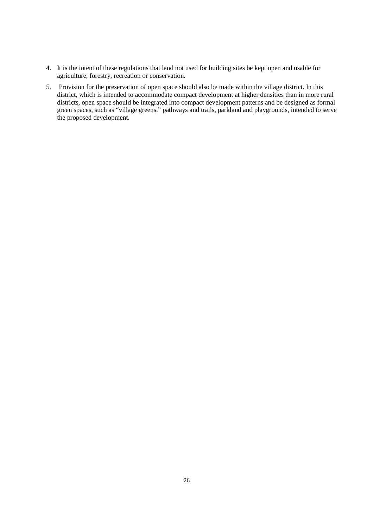- 4. It is the intent of these regulations that land not used for building sites be kept open and usable for agriculture, forestry, recreation or conservation.
- 5. Provision for the preservation of open space should also be made within the village district. In this district, which is intended to accommodate compact development at higher densities than in more rural districts, open space should be integrated into compact development at inginer densities than in more raral districts, open space should be integrated into compact development patterns and be designed as formal green spaces, such as "village greens," pathways and trails, parkland and playgrounds, intended to serve the proposed development.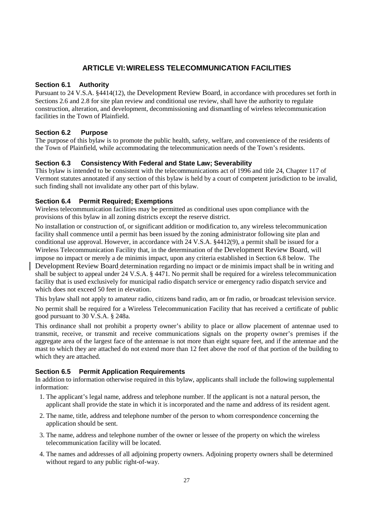# **ARTICLE VI: WIRELESS TELECOMMUNICATION FACILITIES**

#### **Section 6.1 Authority**

Pursuant to 24 V.S.A. §4414(12), the Development Review Board, in accordance with procedures set forth in Sections 2.6 and 2.8 for site plan review and conditional use review, shall have the authority to regulate construction, alteration, and development, decommissioning and dismantling of wireless telecommunication facilities in the Town of Plainfield.

## **Section 6.2 Purpose**

The purpose of this bylaw is to promote the public health, safety, welfare, and convenience of the residents of the Town of Plainfield, while accommodating the telecommunication needs of the Town's residents.

## **Section 6.3 Consistency With Federal and State Law; Severability**

This bylaw is intended to be consistent with the telecommunications act of 1996 and title 24, Chapter 117 of Vermont statutes annotated if any section of this bylaw is held by a court of competent jurisdiction to be invalid, such finding shall not invalidate any other part of this bylaw.

## **Section 6.4 Permit Required; Exemptions**

Wireless telecommunication facilities may be permitted as conditional uses upon compliance with the provisions of this bylaw in all zoning districts except the reserve district.

No installation or construction of, or significant addition or modification to, any wireless telecommunication facility shall commence until a permit has been issued by the zoning administrator following site plan and conditional use approval. However, in accordance with 24 V.S.A. §4412(9), a permit shall be issued for a Wireless Telecommunication Facility that, in the determination of the Development Review Board, will impose no impact or merely a de minimis impact, upon any criteria established in Section 6.8 below. The Development Review Board determination regarding no impact or de minimis impact shall be in writing and shall be subject to appeal under 24 V.S.A. § 4471. No permit shall be required for a wireless telecommunication facility that is used exclusively for municipal radio dispatch service or emergency radio dispatch service and which does not exceed 50 feet in elevation.

This bylaw shall not apply to amateur radio, citizens band radio, am or fm radio, or broadcast television service. No permit shall be required for a Wireless Telecommunication Facility that has received a certificate of public good pursuant to 30 V.S.A. § 248a.

This ordinance shall not prohibit a property owner's ability to place or allow placement of antennae used to transmit, receive, or transmit and receive communications signals on the property owner's premises if the aggregate area of the largest face of the antennae is not more than eight square feet, and if the antennae and the mast to which they are attached do not extend more than 12 feet above the roof of that portion of the building to which they are attached.

## **Section 6.5 Permit Application Requirements**

In addition to information otherwise required in this bylaw, applicants shall include the following supplemental information:

- 1. The applicant's legal name, address and telephone number. If the applicant is not a natural person, the applicant shall provide the state in which it is incorporated and the name and address of its resident agent.
- 2. The name, title, address and telephone number of the person to whom correspondence concerning the application should be sent.
- 3. The name, address and telephone number of the owner or lessee of the property on which the wireless telecommunication facility will be located.
- 4. The names and addresses of all adjoining property owners. Adjoining property owners shall be determined without regard to any public right-of-way.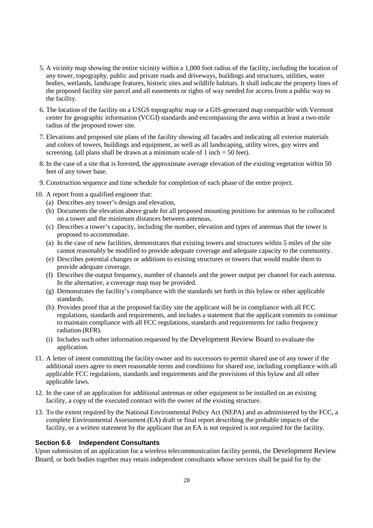- 5. A vicinity map showing the entire vicinity within a 1,000 foot radius of the facility, including the location of any tower, topography, public and private roads and driveways, buildings and structures, utilities, water bodies, wetlands, landscape features, historic sites and wildlife habitats. It shall indicate the property lines of the proposed facility site parcel and all easements or rights of way needed for access from a public way to the facility.
- 6. The location of the facility on a USGS topographic map or a GIS-generated map compatible with Vermont center for geographic information (VCGI) standards and encompassing the area within at least a two-mile radius of the proposed tower site.
- 7. Elevations and proposed site plans of the facility showing all facades and indicating all exterior materials and colors of towers, buildings and equipment, as well as all landscaping, utility wires, guy wires and screening. (all plans shall be drawn at a minimum scale of 1 inch  $= 50$  feet).
- 8. In the case of a site that is forested, the approximate average elevation of the existing vegetation within 50 feet of any tower base.
- 9. Construction sequence and time schedule for completion of each phase of the entire project.
- 10. A report from a qualified engineer that:
	- (a) Describes any tower's design and elevation,
	- (b) Documents the elevation above grade for all proposed mounting positions for antennas to be collocated on a tower and the minimum distances between antennas,
	- (c) Describes a tower's capacity, including the number, elevation and types of antennas that the tower is proposed to accommodate.
	- (a) In the case of new facilities, demonstrates that existing towers and structures within 5 miles of the site cannot reasonably be modified to provide adequate coverage and adequate capacity to the community.
	- (e) Describes potential changes or additions to existing structures or towers that would enable them to provide adequate coverage.
	- (f) Describes the output frequency, number of channels and the power output per channel for each antenna. In the alternative, a coverage map may be provided.
	- (g) Demonstrates the facility's compliance with the standards set forth in this bylaw or other applicable standards.
	- (h). Provides proof that at the proposed facility site the applicant will be in compliance with all FCC regulations, standards and requirements, and includes a statement that the applicant commits to continue to maintain compliance with all FCC regulations, standards and requirements for radio frequency radiation (RFR).
	- (i) Includes such other information requested by the Development Review Board to evaluate the application.
- 11. A letter of intent committing the facility owner and its successors to permit shared use of any tower if the additional users agree to meet reasonable terms and conditions for shared use, including compliance with all applicable FCC regulations, standards and requirements and the provisions of this bylaw and all other applicable laws.
- 12. In the case of an application for additional antennas or other equipment to be installed on an existing facility, a copy of the executed contract with the owner of the existing structure.
- 13. To the extent required by the National Environmental Policy Act (NEPA) and as administered by the FCC, a complete Environmental Assessment (EA) draft or final report describing the probable impacts of the facility, or a written statement by the applicant that an EA is not required is not required for the facility.

#### **Section 6.6 Independent Consultants**

Upon submission of an application for a wireless telecommunication facility permit, the Development Review Board, or both bodies together may retain independent consultants whose services shall be paid for by the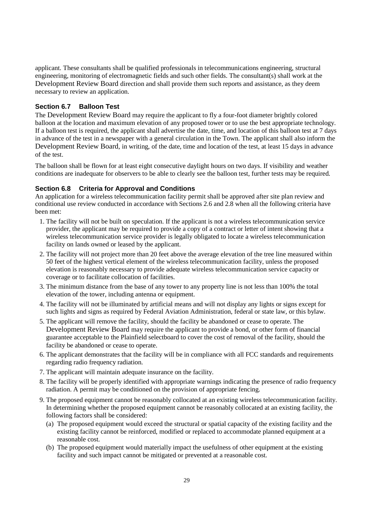applicant. These consultants shall be qualified professionals in telecommunications engineering, structural engineering, monitoring of electromagnetic fields and such other fields. The consultant(s) shall work at the Development Review Board direction and shall provide them such reports and assistance, as they deem necessary to review an application.

#### **Section 6.7 Balloon Test**

The Development Review Board may require the applicant to fly a four-foot diameter brightly colored balloon at the location and maximum elevation of any proposed tower or to use the best appropriate technology. If a balloon test is required, the applicant shall advertise the date, time, and location of this balloon test at 7 days in advance of the test in a newspaper with a general circulation in the Town. The applicant shall also inform the Development Review Board, in writing, of the date, time and location of the test, at least 15 days in advance of the test.

The balloon shall be flown for at least eight consecutive daylight hours on two days. If visibility and weather conditions are inadequate for observers to be able to clearly see the balloon test, further tests may be required.

#### **Section 6.8 Criteria for Approval and Conditions**

An application for a wireless telecommunication facility permit shall be approved after site plan review and conditional use review conducted in accordance with Sections 2.6 and 2.8 when all the following criteria have been met:

- 1. The facility will not be built on speculation. If the applicant is not a wireless telecommunication service provider, the applicant may be required to provide a copy of a contract or letter of intent showing that a wireless telecommunication service provider is legally obligated to locate a wireless telecommunication facility on lands owned or leased by the applicant.
- 2. The facility will not project more than 20 feet above the average elevation of the tree line measured within 50 feet of the highest vertical element of the wireless telecommunication facility, unless the proposed elevation is reasonably necessary to provide adequate wireless telecommunication service capacity or coverage or to facilitate collocation of facilities.
- 3. The minimum distance from the base of any tower to any property line is not less than 100% the total elevation of the tower, including antenna or equipment.
- 4. The facility will not be illuminated by artificial means and will not display any lights or signs except for such lights and signs as required by Federal Aviation Administration, federal or state law, or this bylaw.
- 5. The applicant will remove the facility, should the facility be abandoned or cease to operate. The Development Review Board may require the applicant to provide a bond, or other form of financial guarantee acceptable to the Plainfield selectboard to cover the cost of removal of the facility, should the facility be abandoned or cease to operate.
- 6. The applicant demonstrates that the facility will be in compliance with all FCC standards and requirements regarding radio frequency radiation.
- 7. The applicant will maintain adequate insurance on the facility.
- 8. The facility will be properly identified with appropriate warnings indicating the presence of radio frequency radiation. A permit may be conditioned on the provision of appropriate fencing.
- 9. The proposed equipment cannot be reasonably collocated at an existing wireless telecommunication facility. In determining whether the proposed equipment cannot be reasonably collocated at an existing facility, the following factors shall be considered:
	- (a) The proposed equipment would exceed the structural or spatial capacity of the existing facility and the existing facility cannot be reinforced, modified or replaced to accommodate planned equipment at a reasonable cost.
	- (b) The proposed equipment would materially impact the usefulness of other equipment at the existing facility and such impact cannot be mitigated or prevented at a reasonable cost.